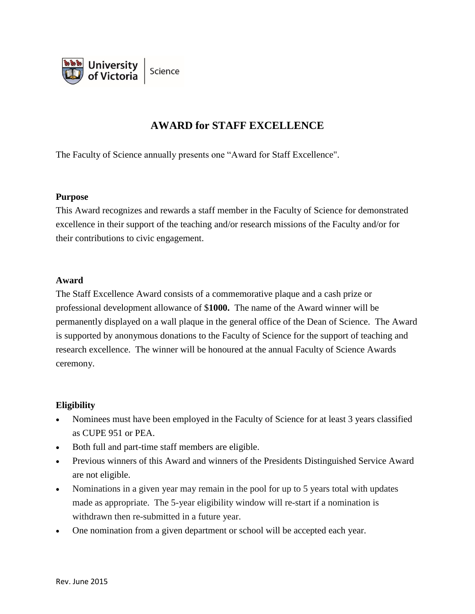

# **AWARD for STAFF EXCELLENCE**

The Faculty of Science annually presents one "Award for Staff Excellence".

#### **Purpose**

This Award recognizes and rewards a staff member in the Faculty of Science for demonstrated excellence in their support of the teaching and/or research missions of the Faculty and/or for their contributions to civic engagement.

#### **Award**

The Staff Excellence Award consists of a commemorative plaque and a cash prize or professional development allowance of \$**1000.** The name of the Award winner will be permanently displayed on a wall plaque in the general office of the Dean of Science. The Award is supported by anonymous donations to the Faculty of Science for the support of teaching and research excellence. The winner will be honoured at the annual Faculty of Science Awards ceremony.

## **Eligibility**

- Nominees must have been employed in the Faculty of Science for at least 3 years classified as CUPE 951 or PEA.
- Both full and part-time staff members are eligible.
- Previous winners of this Award and winners of the Presidents Distinguished Service Award are not eligible.
- Nominations in a given year may remain in the pool for up to 5 years total with updates made as appropriate. The 5-year eligibility window will re-start if a nomination is withdrawn then re-submitted in a future year.
- One nomination from a given department or school will be accepted each year.